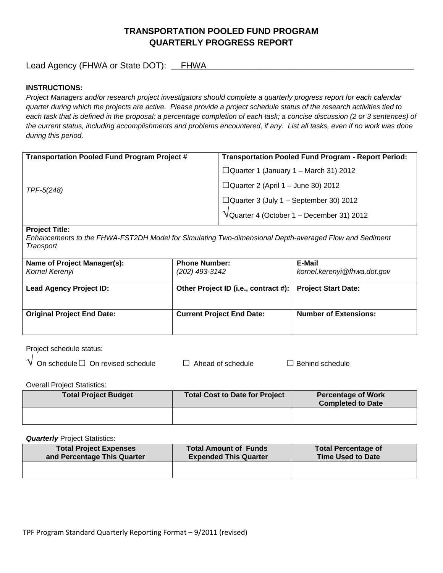# **TRANSPORTATION POOLED FUND PROGRAM QUARTERLY PROGRESS REPORT**

Lead Agency (FHWA or State DOT): \_\_FHWA

## **INSTRUCTIONS:**

*Project Managers and/or research project investigators should complete a quarterly progress report for each calendar quarter during which the projects are active. Please provide a project schedule status of the research activities tied to*  each task that is defined in the proposal; a percentage completion of each task; a concise discussion (2 or 3 sentences) of *the current status, including accomplishments and problems encountered, if any. List all tasks, even if no work was done during this period.*

| <b>Transportation Pooled Fund Program Project #</b> | <b>Transportation Pooled Fund Program - Report Period:</b>    |  |
|-----------------------------------------------------|---------------------------------------------------------------|--|
|                                                     | $\Box$ Quarter 1 (January 1 – March 31) 2012                  |  |
| TPF-5(248)                                          | $\Box$ Quarter 2 (April 1 – June 30) 2012                     |  |
|                                                     | $\Box$ Quarter 3 (July 1 – September 30) 2012                 |  |
|                                                     | $\sqrt{\frac{1}{2}}$ Quarter 4 (October 1 – December 31) 2012 |  |

#### **Project Title:**

*Enhancements to the FHWA-FST2DH Model for Simulating Two-dimensional Depth-averaged Flow and Sediment Transport*

| Name of Project Manager(s):<br>Kornel Kerenyi | <b>Phone Number:</b><br>(202) 493-3142 | E-Mail<br>kornel.kerenyi@fhwa.dot.gov |
|-----------------------------------------------|----------------------------------------|---------------------------------------|
| <b>Lead Agency Project ID:</b>                | Other Project ID (i.e., contract #):   | <b>Project Start Date:</b>            |
| <b>Original Project End Date:</b>             | <b>Current Project End Date:</b>       | <b>Number of Extensions:</b>          |

Project schedule status:<br>  $\frac{1}{2}$ 

| $\sf{V}\,$ On schedule $\Box\,$ On revised schedul $\sf{s}$ |
|-------------------------------------------------------------|
|-------------------------------------------------------------|

 $\theta$  □  $\Box$  Ahead of schedule □  $\Box$  Behind schedule

Overall Project Statistics:

| <b>Total Project Budget</b> | Total Cost to Date for Project | <b>Percentage of Work</b><br><b>Completed to Date</b> |
|-----------------------------|--------------------------------|-------------------------------------------------------|
|                             |                                |                                                       |

**Quarterly** Project Statistics:

| <b>Total Project Expenses</b> | <b>Total Amount of Funds</b> | <b>Total Percentage of</b> |
|-------------------------------|------------------------------|----------------------------|
| and Percentage This Quarter   | <b>Expended This Quarter</b> | <b>Time Used to Date</b>   |
|                               |                              |                            |